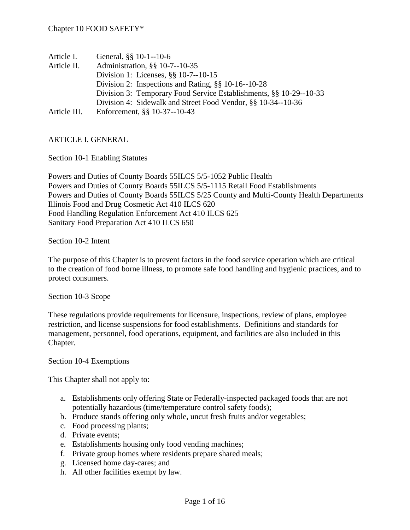| Article I.   | General, §§ 10-1--10-6                                             |
|--------------|--------------------------------------------------------------------|
| Article II.  | Administration, §§ 10-7--10-35                                     |
|              | Division 1: Licenses, §§ 10-7--10-15                               |
|              | Division 2: Inspections and Rating, $\S$ 10-16--10-28              |
|              | Division 3: Temporary Food Service Establishments, §§ 10-29--10-33 |
|              | Division 4: Sidewalk and Street Food Vendor, §§ 10-34--10-36       |
| Article III. | Enforcement, §§ 10-37--10-43                                       |

#### ARTICLE I. GENERAL

Section 10-1 Enabling Statutes

Powers and Duties of County Boards 55ILCS 5/5-1052 Public Health Powers and Duties of County Boards 55ILCS 5/5-1115 Retail Food Establishments Powers and Duties of County Boards 55ILCS 5/25 County and Multi-County Health Departments Illinois Food and Drug Cosmetic Act 410 ILCS 620 Food Handling Regulation Enforcement Act 410 ILCS 625 Sanitary Food Preparation Act 410 ILCS 650

Section 10-2 Intent

The purpose of this Chapter is to prevent factors in the food service operation which are critical to the creation of food borne illness, to promote safe food handling and hygienic practices, and to protect consumers.

Section 10-3 Scope

These regulations provide requirements for licensure, inspections, review of plans, employee restriction, and license suspensions for food establishments. Definitions and standards for management, personnel, food operations, equipment, and facilities are also included in this Chapter.

Section 10-4 Exemptions

This Chapter shall not apply to:

- a. Establishments only offering State or Federally-inspected packaged foods that are not potentially hazardous (time/temperature control safety foods);
- b. Produce stands offering only whole, uncut fresh fruits and/or vegetables;
- c. Food processing plants;
- d. Private events;
- e. Establishments housing only food vending machines;
- f. Private group homes where residents prepare shared meals;
- g. Licensed home day-cares; and
- h. All other facilities exempt by law.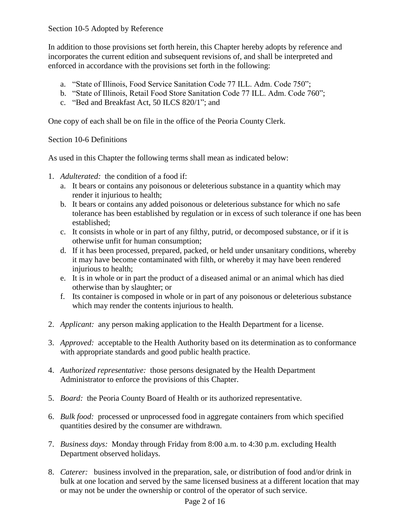In addition to those provisions set forth herein, this Chapter hereby adopts by reference and incorporates the current edition and subsequent revisions of, and shall be interpreted and enforced in accordance with the provisions set forth in the following:

- a. "State of Illinois, Food Service Sanitation Code 77 ILL. Adm. Code 750";
- b. "State of Illinois, Retail Food Store Sanitation Code 77 ILL. Adm. Code 760";
- c. "Bed and Breakfast Act, 50 ILCS 820/1"; and

One copy of each shall be on file in the office of the Peoria County Clerk.

Section 10-6 Definitions

As used in this Chapter the following terms shall mean as indicated below:

- 1. *Adulterated:* the condition of a food if:
	- a. It bears or contains any poisonous or deleterious substance in a quantity which may render it injurious to health;
	- b. It bears or contains any added poisonous or deleterious substance for which no safe tolerance has been established by regulation or in excess of such tolerance if one has been established;
	- c. It consists in whole or in part of any filthy, putrid, or decomposed substance, or if it is otherwise unfit for human consumption;
	- d. If it has been processed, prepared, packed, or held under unsanitary conditions, whereby it may have become contaminated with filth, or whereby it may have been rendered injurious to health;
	- e. It is in whole or in part the product of a diseased animal or an animal which has died otherwise than by slaughter; or
	- f. Its container is composed in whole or in part of any poisonous or deleterious substance which may render the contents injurious to health.
- 2. *Applicant:* any person making application to the Health Department for a license.
- 3. *Approved:* acceptable to the Health Authority based on its determination as to conformance with appropriate standards and good public health practice.
- 4. *Authorized representative:* those persons designated by the Health Department Administrator to enforce the provisions of this Chapter.
- 5. *Board:* the Peoria County Board of Health or its authorized representative.
- 6. *Bulk food:* processed or unprocessed food in aggregate containers from which specified quantities desired by the consumer are withdrawn.
- 7. *Business days:* Monday through Friday from 8:00 a.m. to 4:30 p.m. excluding Health Department observed holidays.
- 8. *Caterer:* business involved in the preparation, sale, or distribution of food and/or drink in bulk at one location and served by the same licensed business at a different location that may or may not be under the ownership or control of the operator of such service.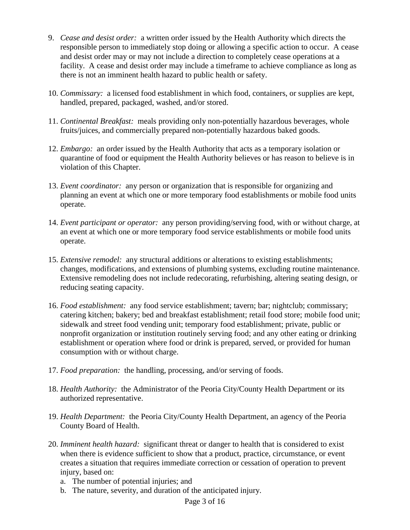- 9. *Cease and desist order:* a written order issued by the Health Authority which directs the responsible person to immediately stop doing or allowing a specific action to occur. A cease and desist order may or may not include a direction to completely cease operations at a facility. A cease and desist order may include a timeframe to achieve compliance as long as there is not an imminent health hazard to public health or safety.
- 10. *Commissary:* a licensed food establishment in which food, containers, or supplies are kept, handled, prepared, packaged, washed, and/or stored.
- 11. *Continental Breakfast:* meals providing only non-potentially hazardous beverages, whole fruits/juices, and commercially prepared non-potentially hazardous baked goods.
- 12. *Embargo:* an order issued by the Health Authority that acts as a temporary isolation or quarantine of food or equipment the Health Authority believes or has reason to believe is in violation of this Chapter.
- 13. *Event coordinator:* any person or organization that is responsible for organizing and planning an event at which one or more temporary food establishments or mobile food units operate.
- 14. *Event participant or operator:* any person providing/serving food, with or without charge, at an event at which one or more temporary food service establishments or mobile food units operate.
- 15. *Extensive remodel:* any structural additions or alterations to existing establishments; changes, modifications, and extensions of plumbing systems, excluding routine maintenance. Extensive remodeling does not include redecorating, refurbishing, altering seating design, or reducing seating capacity.
- 16. *Food establishment:* any food service establishment; tavern; bar; nightclub; commissary; catering kitchen; bakery; bed and breakfast establishment; retail food store; mobile food unit; sidewalk and street food vending unit; temporary food establishment; private, public or nonprofit organization or institution routinely serving food; and any other eating or drinking establishment or operation where food or drink is prepared, served, or provided for human consumption with or without charge.
- 17. *Food preparation:* the handling, processing, and/or serving of foods.
- 18. *Health Authority:* the Administrator of the Peoria City/County Health Department or its authorized representative.
- 19. *Health Department:* the Peoria City/County Health Department, an agency of the Peoria County Board of Health.
- 20. *Imminent health hazard:* significant threat or danger to health that is considered to exist when there is evidence sufficient to show that a product, practice, circumstance, or event creates a situation that requires immediate correction or cessation of operation to prevent injury, based on:
	- a. The number of potential injuries; and
	- b. The nature, severity, and duration of the anticipated injury.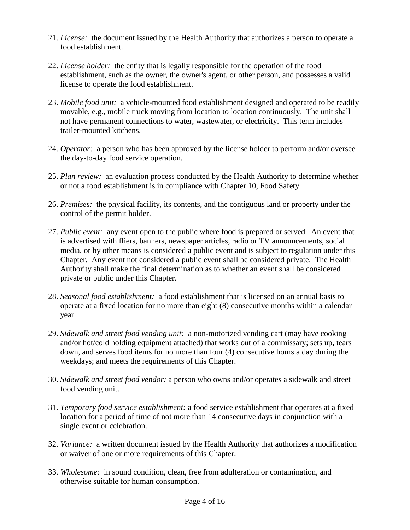- 21. *License:* the document issued by the Health Authority that authorizes a person to operate a food establishment.
- 22. *License holder:* the entity that is legally responsible for the operation of the food establishment, such as the owner, the owner's agent, or other person, and possesses a valid license to operate the food establishment.
- 23. *Mobile food unit:* a vehicle-mounted food establishment designed and operated to be readily movable, e.g., mobile truck moving from location to location continuously. The unit shall not have permanent connections to water, wastewater, or electricity. This term includes trailer-mounted kitchens.
- 24. *Operator:* a person who has been approved by the license holder to perform and/or oversee the day-to-day food service operation.
- 25. *Plan review:* an evaluation process conducted by the Health Authority to determine whether or not a food establishment is in compliance with Chapter 10, Food Safety.
- 26. *Premises:* the physical facility, its contents, and the contiguous land or property under the control of the permit holder.
- 27. *Public event:* any event open to the public where food is prepared or served. An event that is advertised with fliers, banners, newspaper articles, radio or TV announcements, social media, or by other means is considered a public event and is subject to regulation under this Chapter. Any event not considered a public event shall be considered private. The Health Authority shall make the final determination as to whether an event shall be considered private or public under this Chapter.
- 28. *Seasonal food establishment:* a food establishment that is licensed on an annual basis to operate at a fixed location for no more than eight (8) consecutive months within a calendar year.
- 29. *Sidewalk and street food vending unit:* a non-motorized vending cart (may have cooking and/or hot/cold holding equipment attached) that works out of a commissary; sets up, tears down, and serves food items for no more than four (4) consecutive hours a day during the weekdays; and meets the requirements of this Chapter.
- 30. *Sidewalk and street food vendor:* a person who owns and/or operates a sidewalk and street food vending unit.
- 31. *Temporary food service establishment:* a food service establishment that operates at a fixed location for a period of time of not more than 14 consecutive days in conjunction with a single event or celebration.
- 32. *Variance:* a written document issued by the Health Authority that authorizes a modification or waiver of one or more requirements of this Chapter.
- 33. *Wholesome:* in sound condition, clean, free from adulteration or contamination, and otherwise suitable for human consumption.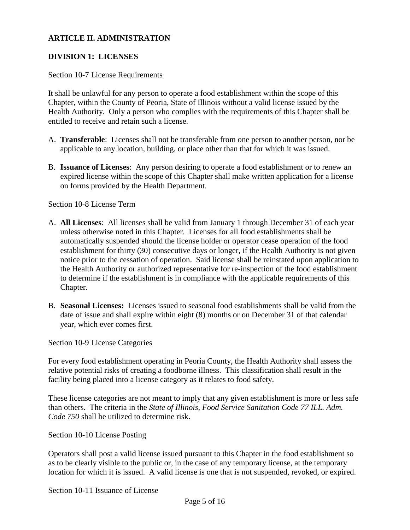#### **ARTICLE II. ADMINISTRATION**

#### **DIVISION 1: LICENSES**

#### Section 10-7 License Requirements

It shall be unlawful for any person to operate a food establishment within the scope of this Chapter, within the County of Peoria, State of Illinois without a valid license issued by the Health Authority. Only a person who complies with the requirements of this Chapter shall be entitled to receive and retain such a license.

- A. **Transferable**: Licenses shall not be transferable from one person to another person, nor be applicable to any location, building, or place other than that for which it was issued.
- B. **Issuance of Licenses**: Any person desiring to operate a food establishment or to renew an expired license within the scope of this Chapter shall make written application for a license on forms provided by the Health Department.

Section 10-8 License Term

- A. **All Licenses**: All licenses shall be valid from January 1 through December 31 of each year unless otherwise noted in this Chapter. Licenses for all food establishments shall be automatically suspended should the license holder or operator cease operation of the food establishment for thirty (30) consecutive days or longer, if the Health Authority is not given notice prior to the cessation of operation. Said license shall be reinstated upon application to the Health Authority or authorized representative for re-inspection of the food establishment to determine if the establishment is in compliance with the applicable requirements of this Chapter.
- B. **Seasonal Licenses:** Licenses issued to seasonal food establishments shall be valid from the date of issue and shall expire within eight (8) months or on December 31 of that calendar year, which ever comes first.

Section 10-9 License Categories

For every food establishment operating in Peoria County, the Health Authority shall assess the relative potential risks of creating a foodborne illness. This classification shall result in the facility being placed into a license category as it relates to food safety.

These license categories are not meant to imply that any given establishment is more or less safe than others. The criteria in the *State of Illinois, Food Service Sanitation Code 77 ILL. Adm. Code 750* shall be utilized to determine risk.

Section 10-10 License Posting

Operators shall post a valid license issued pursuant to this Chapter in the food establishment so as to be clearly visible to the public or, in the case of any temporary license, at the temporary location for which it is issued. A valid license is one that is not suspended, revoked, or expired.

Section 10-11 Issuance of License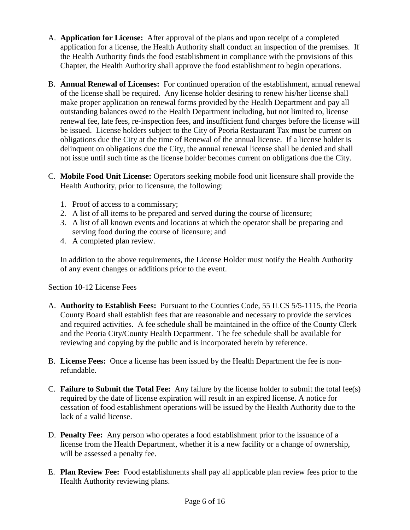- A. **Application for License:** After approval of the plans and upon receipt of a completed application for a license, the Health Authority shall conduct an inspection of the premises. If the Health Authority finds the food establishment in compliance with the provisions of this Chapter, the Health Authority shall approve the food establishment to begin operations.
- B. **Annual Renewal of Licenses:** For continued operation of the establishment, annual renewal of the license shall be required. Any license holder desiring to renew his/her license shall make proper application on renewal forms provided by the Health Department and pay all outstanding balances owed to the Health Department including, but not limited to, license renewal fee, late fees, re-inspection fees, and insufficient fund charges before the license will be issued. License holders subject to the City of Peoria Restaurant Tax must be current on obligations due the City at the time of Renewal of the annual license. If a license holder is delinquent on obligations due the City, the annual renewal license shall be denied and shall not issue until such time as the license holder becomes current on obligations due the City.
- C. **Mobile Food Unit License:** Operators seeking mobile food unit licensure shall provide the Health Authority, prior to licensure, the following:
	- 1. Proof of access to a commissary;
	- 2. A list of all items to be prepared and served during the course of licensure;
	- 3. A list of all known events and locations at which the operator shall be preparing and serving food during the course of licensure; and
	- 4. A completed plan review.

In addition to the above requirements, the License Holder must notify the Health Authority of any event changes or additions prior to the event.

Section 10-12 License Fees

- A. **Authority to Establish Fees:** Pursuant to the Counties Code, 55 ILCS 5/5-1115, the Peoria County Board shall establish fees that are reasonable and necessary to provide the services and required activities. A fee schedule shall be maintained in the office of the County Clerk and the Peoria City/County Health Department. The fee schedule shall be available for reviewing and copying by the public and is incorporated herein by reference.
- B. **License Fees:** Once a license has been issued by the Health Department the fee is nonrefundable.
- C. **Failure to Submit the Total Fee:** Any failure by the license holder to submit the total fee(s) required by the date of license expiration will result in an expired license. A notice for cessation of food establishment operations will be issued by the Health Authority due to the lack of a valid license.
- D. **Penalty Fee:** Any person who operates a food establishment prior to the issuance of a license from the Health Department, whether it is a new facility or a change of ownership, will be assessed a penalty fee.
- E. **Plan Review Fee:** Food establishments shall pay all applicable plan review fees prior to the Health Authority reviewing plans.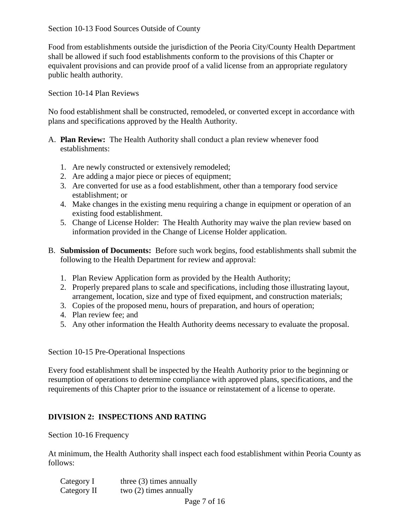Food from establishments outside the jurisdiction of the Peoria City/County Health Department shall be allowed if such food establishments conform to the provisions of this Chapter or equivalent provisions and can provide proof of a valid license from an appropriate regulatory public health authority.

### Section 10-14 Plan Reviews

No food establishment shall be constructed, remodeled, or converted except in accordance with plans and specifications approved by the Health Authority.

- A. **Plan Review:** The Health Authority shall conduct a plan review whenever food establishments:
	- 1. Are newly constructed or extensively remodeled;
	- 2. Are adding a major piece or pieces of equipment;
	- 3. Are converted for use as a food establishment, other than a temporary food service establishment; or
	- 4. Make changes in the existing menu requiring a change in equipment or operation of an existing food establishment.
	- 5. Change of License Holder: The Health Authority may waive the plan review based on information provided in the Change of License Holder application.
- B. **Submission of Documents:** Before such work begins, food establishments shall submit the following to the Health Department for review and approval:
	- 1. Plan Review Application form as provided by the Health Authority;
	- 2. Properly prepared plans to scale and specifications, including those illustrating layout, arrangement, location, size and type of fixed equipment, and construction materials;
	- 3. Copies of the proposed menu, hours of preparation, and hours of operation;
	- 4. Plan review fee; and
	- 5. Any other information the Health Authority deems necessary to evaluate the proposal.

Section 10-15 Pre-Operational Inspections

Every food establishment shall be inspected by the Health Authority prior to the beginning or resumption of operations to determine compliance with approved plans, specifications, and the requirements of this Chapter prior to the issuance or reinstatement of a license to operate.

## **DIVISION 2: INSPECTIONS AND RATING**

Section 10-16 Frequency

At minimum, the Health Authority shall inspect each food establishment within Peoria County as follows:

| Category I  | three $(3)$ times annually |  |
|-------------|----------------------------|--|
| Category II | two $(2)$ times annually   |  |
|             |                            |  |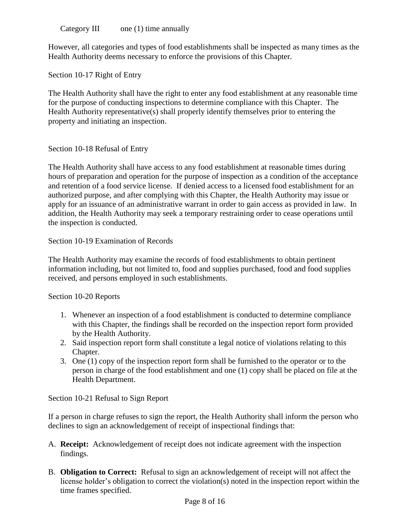Category III one (1) time annually

However, all categories and types of food establishments shall be inspected as many times as the Health Authority deems necessary to enforce the provisions of this Chapter.

Section 10-17 Right of Entry

The Health Authority shall have the right to enter any food establishment at any reasonable time for the purpose of conducting inspections to determine compliance with this Chapter. The Health Authority representative(s) shall properly identify themselves prior to entering the property and initiating an inspection.

### Section 10-18 Refusal of Entry

The Health Authority shall have access to any food establishment at reasonable times during hours of preparation and operation for the purpose of inspection as a condition of the acceptance and retention of a food service license. If denied access to a licensed food establishment for an authorized purpose, and after complying with this Chapter, the Health Authority may issue or apply for an issuance of an administrative warrant in order to gain access as provided in law. In addition, the Health Authority may seek a temporary restraining order to cease operations until the inspection is conducted.

Section 10-19 Examination of Records

The Health Authority may examine the records of food establishments to obtain pertinent information including, but not limited to, food and supplies purchased, food and food supplies received, and persons employed in such establishments.

Section 10-20 Reports

- 1. Whenever an inspection of a food establishment is conducted to determine compliance with this Chapter, the findings shall be recorded on the inspection report form provided by the Health Authority.
- 2. Said inspection report form shall constitute a legal notice of violations relating to this Chapter.
- 3. One (1) copy of the inspection report form shall be furnished to the operator or to the person in charge of the food establishment and one (1) copy shall be placed on file at the Health Department.

Section 10-21 Refusal to Sign Report

If a person in charge refuses to sign the report, the Health Authority shall inform the person who declines to sign an acknowledgement of receipt of inspectional findings that:

- A. **Receipt:** Acknowledgement of receipt does not indicate agreement with the inspection findings.
- B. **Obligation to Correct:** Refusal to sign an acknowledgement of receipt will not affect the license holder's obligation to correct the violation(s) noted in the inspection report within the time frames specified.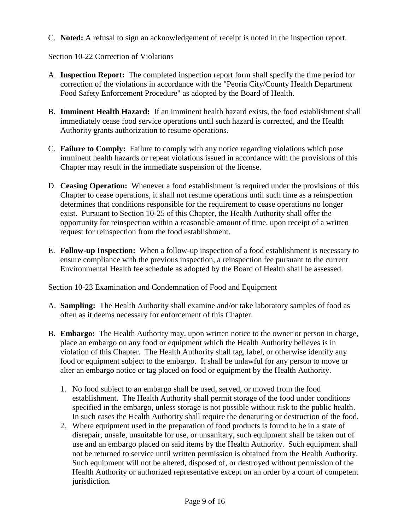C. **Noted:** A refusal to sign an acknowledgement of receipt is noted in the inspection report.

## Section 10-22 Correction of Violations

- A. **Inspection Report:** The completed inspection report form shall specify the time period for correction of the violations in accordance with the "Peoria City/County Health Department Food Safety Enforcement Procedure" as adopted by the Board of Health.
- B. **Imminent Health Hazard:** If an imminent health hazard exists, the food establishment shall immediately cease food service operations until such hazard is corrected, and the Health Authority grants authorization to resume operations.
- C. **Failure to Comply:** Failure to comply with any notice regarding violations which pose imminent health hazards or repeat violations issued in accordance with the provisions of this Chapter may result in the immediate suspension of the license.
- D. **Ceasing Operation:** Whenever a food establishment is required under the provisions of this Chapter to cease operations, it shall not resume operations until such time as a reinspection determines that conditions responsible for the requirement to cease operations no longer exist. Pursuant to Section 10-25 of this Chapter, the Health Authority shall offer the opportunity for reinspection within a reasonable amount of time, upon receipt of a written request for reinspection from the food establishment.
- E. **Follow-up Inspection:** When a follow-up inspection of a food establishment is necessary to ensure compliance with the previous inspection, a reinspection fee pursuant to the current Environmental Health fee schedule as adopted by the Board of Health shall be assessed.

Section 10-23 Examination and Condemnation of Food and Equipment

- A. **Sampling:** The Health Authority shall examine and/or take laboratory samples of food as often as it deems necessary for enforcement of this Chapter.
- B. **Embargo:** The Health Authority may, upon written notice to the owner or person in charge, place an embargo on any food or equipment which the Health Authority believes is in violation of this Chapter. The Health Authority shall tag, label, or otherwise identify any food or equipment subject to the embargo. It shall be unlawful for any person to move or alter an embargo notice or tag placed on food or equipment by the Health Authority.
	- 1. No food subject to an embargo shall be used, served, or moved from the food establishment. The Health Authority shall permit storage of the food under conditions specified in the embargo, unless storage is not possible without risk to the public health. In such cases the Health Authority shall require the denaturing or destruction of the food.
	- 2. Where equipment used in the preparation of food products is found to be in a state of disrepair, unsafe, unsuitable for use, or unsanitary, such equipment shall be taken out of use and an embargo placed on said items by the Health Authority. Such equipment shall not be returned to service until written permission is obtained from the Health Authority. Such equipment will not be altered, disposed of, or destroyed without permission of the Health Authority or authorized representative except on an order by a court of competent jurisdiction.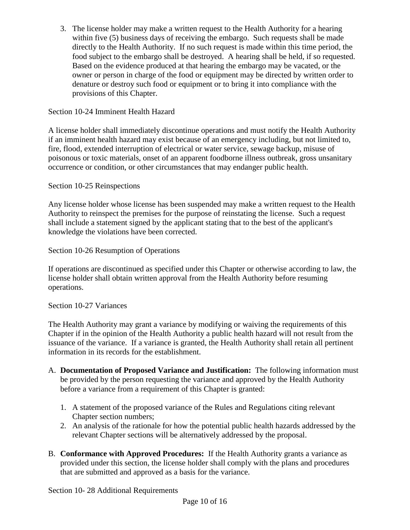3. The license holder may make a written request to the Health Authority for a hearing within five (5) business days of receiving the embargo. Such requests shall be made directly to the Health Authority. If no such request is made within this time period, the food subject to the embargo shall be destroyed. A hearing shall be held, if so requested. Based on the evidence produced at that hearing the embargo may be vacated, or the owner or person in charge of the food or equipment may be directed by written order to denature or destroy such food or equipment or to bring it into compliance with the provisions of this Chapter.

### Section 10-24 Imminent Health Hazard

A license holder shall immediately discontinue operations and must notify the Health Authority if an imminent health hazard may exist because of an emergency including, but not limited to, fire, flood, extended interruption of electrical or water service, sewage backup, misuse of poisonous or toxic materials, onset of an apparent foodborne illness outbreak, gross unsanitary occurrence or condition, or other circumstances that may endanger public health.

### Section 10-25 Reinspections

Any license holder whose license has been suspended may make a written request to the Health Authority to reinspect the premises for the purpose of reinstating the license. Such a request shall include a statement signed by the applicant stating that to the best of the applicant's knowledge the violations have been corrected.

Section 10-26 Resumption of Operations

If operations are discontinued as specified under this Chapter or otherwise according to law, the license holder shall obtain written approval from the Health Authority before resuming operations.

### Section 10-27 Variances

The Health Authority may grant a variance by modifying or waiving the requirements of this Chapter if in the opinion of the Health Authority a public health hazard will not result from the issuance of the variance. If a variance is granted, the Health Authority shall retain all pertinent information in its records for the establishment.

- A. **Documentation of Proposed Variance and Justification:** The following information must be provided by the person requesting the variance and approved by the Health Authority before a variance from a requirement of this Chapter is granted:
	- 1. A statement of the proposed variance of the Rules and Regulations citing relevant Chapter section numbers;
	- 2. An analysis of the rationale for how the potential public health hazards addressed by the relevant Chapter sections will be alternatively addressed by the proposal.
- B. **Conformance with Approved Procedures:** If the Health Authority grants a variance as provided under this section, the license holder shall comply with the plans and procedures that are submitted and approved as a basis for the variance.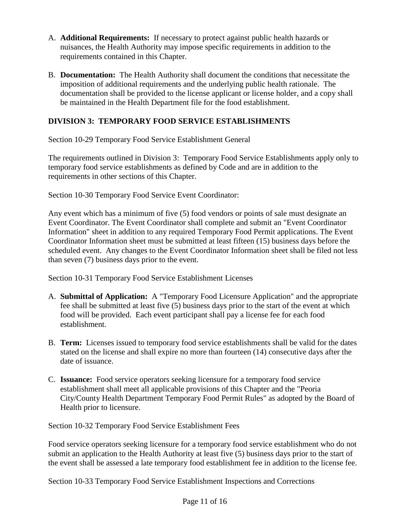- A. **Additional Requirements:** If necessary to protect against public health hazards or nuisances, the Health Authority may impose specific requirements in addition to the requirements contained in this Chapter.
- B. **Documentation:** The Health Authority shall document the conditions that necessitate the imposition of additional requirements and the underlying public health rationale. The documentation shall be provided to the license applicant or license holder, and a copy shall be maintained in the Health Department file for the food establishment.

## **DIVISION 3: TEMPORARY FOOD SERVICE ESTABLISHMENTS**

Section 10-29 Temporary Food Service Establishment General

The requirements outlined in Division 3: Temporary Food Service Establishments apply only to temporary food service establishments as defined by Code and are in addition to the requirements in other sections of this Chapter.

Section 10-30 Temporary Food Service Event Coordinator:

Any event which has a minimum of five (5) food vendors or points of sale must designate an Event Coordinator. The Event Coordinator shall complete and submit an "Event Coordinator Information" sheet in addition to any required Temporary Food Permit applications. The Event Coordinator Information sheet must be submitted at least fifteen (15) business days before the scheduled event. Any changes to the Event Coordinator Information sheet shall be filed not less than seven (7) business days prior to the event.

Section 10-31 Temporary Food Service Establishment Licenses

- A. **Submittal of Application:** A "Temporary Food Licensure Application" and the appropriate fee shall be submitted at least five (5) business days prior to the start of the event at which food will be provided. Each event participant shall pay a license fee for each food establishment.
- B. **Term:** Licenses issued to temporary food service establishments shall be valid for the dates stated on the license and shall expire no more than fourteen (14) consecutive days after the date of issuance.
- C. **Issuance:** Food service operators seeking licensure for a temporary food service establishment shall meet all applicable provisions of this Chapter and the "Peoria City/County Health Department Temporary Food Permit Rules" as adopted by the Board of Health prior to licensure.

Section 10-32 Temporary Food Service Establishment Fees

Food service operators seeking licensure for a temporary food service establishment who do not submit an application to the Health Authority at least five (5) business days prior to the start of the event shall be assessed a late temporary food establishment fee in addition to the license fee.

Section 10-33 Temporary Food Service Establishment Inspections and Corrections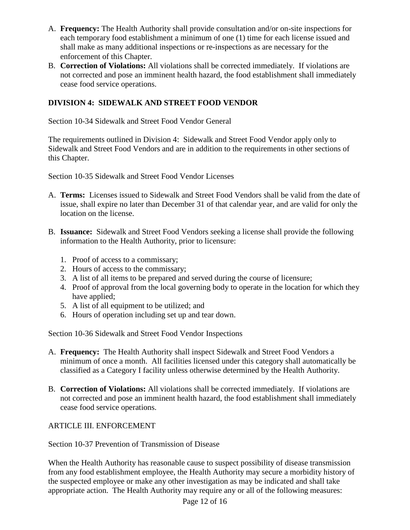- A. **Frequency:** The Health Authority shall provide consultation and/or on-site inspections for each temporary food establishment a minimum of one (1) time for each license issued and shall make as many additional inspections or re-inspections as are necessary for the enforcement of this Chapter.
- B. **Correction of Violations:** All violations shall be corrected immediately. If violations are not corrected and pose an imminent health hazard, the food establishment shall immediately cease food service operations.

## **DIVISION 4: SIDEWALK AND STREET FOOD VENDOR**

Section 10-34 Sidewalk and Street Food Vendor General

The requirements outlined in Division 4: Sidewalk and Street Food Vendor apply only to Sidewalk and Street Food Vendors and are in addition to the requirements in other sections of this Chapter.

Section 10-35 Sidewalk and Street Food Vendor Licenses

- A. **Terms:** Licenses issued to Sidewalk and Street Food Vendors shall be valid from the date of issue, shall expire no later than December 31 of that calendar year, and are valid for only the location on the license.
- B. **Issuance:** Sidewalk and Street Food Vendors seeking a license shall provide the following information to the Health Authority, prior to licensure:
	- 1. Proof of access to a commissary;
	- 2. Hours of access to the commissary;
	- 3. A list of all items to be prepared and served during the course of licensure;
	- 4. Proof of approval from the local governing body to operate in the location for which they have applied;
	- 5. A list of all equipment to be utilized; and
	- 6. Hours of operation including set up and tear down.

Section 10-36 Sidewalk and Street Food Vendor Inspections

- A. **Frequency:** The Health Authority shall inspect Sidewalk and Street Food Vendors a minimum of once a month. All facilities licensed under this category shall automatically be classified as a Category I facility unless otherwise determined by the Health Authority.
- B. **Correction of Violations:** All violations shall be corrected immediately. If violations are not corrected and pose an imminent health hazard, the food establishment shall immediately cease food service operations.

## ARTICLE III. ENFORCEMENT

Section 10-37 Prevention of Transmission of Disease

When the Health Authority has reasonable cause to suspect possibility of disease transmission from any food establishment employee, the Health Authority may secure a morbidity history of the suspected employee or make any other investigation as may be indicated and shall take appropriate action. The Health Authority may require any or all of the following measures: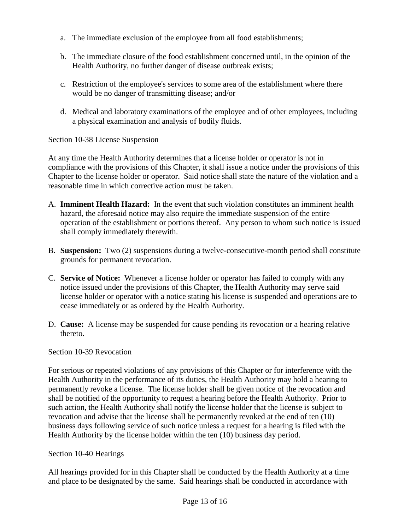- a. The immediate exclusion of the employee from all food establishments;
- b. The immediate closure of the food establishment concerned until, in the opinion of the Health Authority, no further danger of disease outbreak exists;
- c. Restriction of the employee's services to some area of the establishment where there would be no danger of transmitting disease; and/or
- d. Medical and laboratory examinations of the employee and of other employees, including a physical examination and analysis of bodily fluids.

Section 10-38 License Suspension

At any time the Health Authority determines that a license holder or operator is not in compliance with the provisions of this Chapter, it shall issue a notice under the provisions of this Chapter to the license holder or operator. Said notice shall state the nature of the violation and a reasonable time in which corrective action must be taken.

- A. **Imminent Health Hazard:** In the event that such violation constitutes an imminent health hazard, the aforesaid notice may also require the immediate suspension of the entire operation of the establishment or portions thereof. Any person to whom such notice is issued shall comply immediately therewith.
- B. **Suspension:** Two (2) suspensions during a twelve-consecutive-month period shall constitute grounds for permanent revocation.
- C. **Service of Notice:** Whenever a license holder or operator has failed to comply with any notice issued under the provisions of this Chapter, the Health Authority may serve said license holder or operator with a notice stating his license is suspended and operations are to cease immediately or as ordered by the Health Authority.
- D. **Cause:** A license may be suspended for cause pending its revocation or a hearing relative thereto.

Section 10-39 Revocation

For serious or repeated violations of any provisions of this Chapter or for interference with the Health Authority in the performance of its duties, the Health Authority may hold a hearing to permanently revoke a license. The license holder shall be given notice of the revocation and shall be notified of the opportunity to request a hearing before the Health Authority. Prior to such action, the Health Authority shall notify the license holder that the license is subject to revocation and advise that the license shall be permanently revoked at the end of ten (10) business days following service of such notice unless a request for a hearing is filed with the Health Authority by the license holder within the ten (10) business day period.

Section 10-40 Hearings

All hearings provided for in this Chapter shall be conducted by the Health Authority at a time and place to be designated by the same. Said hearings shall be conducted in accordance with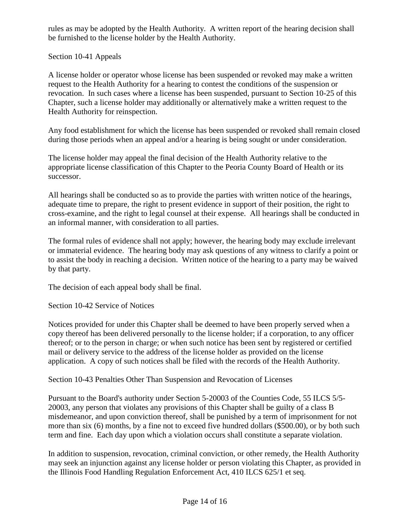rules as may be adopted by the Health Authority. A written report of the hearing decision shall be furnished to the license holder by the Health Authority.

## Section 10-41 Appeals

A license holder or operator whose license has been suspended or revoked may make a written request to the Health Authority for a hearing to contest the conditions of the suspension or revocation. In such cases where a license has been suspended, pursuant to Section 10-25 of this Chapter, such a license holder may additionally or alternatively make a written request to the Health Authority for reinspection.

Any food establishment for which the license has been suspended or revoked shall remain closed during those periods when an appeal and/or a hearing is being sought or under consideration.

The license holder may appeal the final decision of the Health Authority relative to the appropriate license classification of this Chapter to the Peoria County Board of Health or its successor.

All hearings shall be conducted so as to provide the parties with written notice of the hearings, adequate time to prepare, the right to present evidence in support of their position, the right to cross-examine, and the right to legal counsel at their expense. All hearings shall be conducted in an informal manner, with consideration to all parties.

The formal rules of evidence shall not apply; however, the hearing body may exclude irrelevant or immaterial evidence. The hearing body may ask questions of any witness to clarify a point or to assist the body in reaching a decision. Written notice of the hearing to a party may be waived by that party.

The decision of each appeal body shall be final.

Section 10-42 Service of Notices

Notices provided for under this Chapter shall be deemed to have been properly served when a copy thereof has been delivered personally to the license holder; if a corporation, to any officer thereof; or to the person in charge; or when such notice has been sent by registered or certified mail or delivery service to the address of the license holder as provided on the license application. A copy of such notices shall be filed with the records of the Health Authority.

Section 10-43 Penalties Other Than Suspension and Revocation of Licenses

Pursuant to the Board's authority under Section 5-20003 of the Counties Code, 55 ILCS 5/5- 20003, any person that violates any provisions of this Chapter shall be guilty of a class B misdemeanor, and upon conviction thereof, shall be punished by a term of imprisonment for not more than six (6) months, by a fine not to exceed five hundred dollars (\$500.00), or by both such term and fine. Each day upon which a violation occurs shall constitute a separate violation.

In addition to suspension, revocation, criminal conviction, or other remedy, the Health Authority may seek an injunction against any license holder or person violating this Chapter, as provided in the Illinois Food Handling Regulation Enforcement Act, 410 ILCS 625/1 et seq.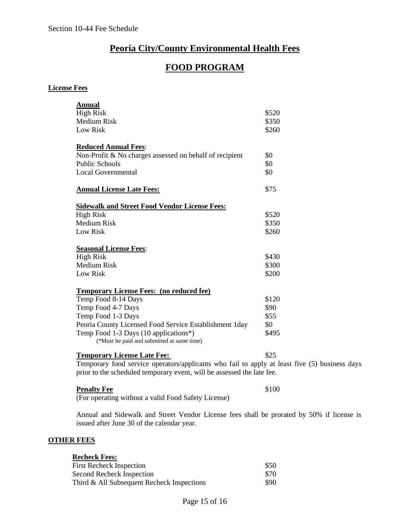## **Peoria City/County Environmental Health Fees**

# **FOOD PROGRAM**

#### **License Fees**

| <b>Annual</b>                                           |       |
|---------------------------------------------------------|-------|
| <b>High Risk</b>                                        | \$520 |
| <b>Medium Risk</b>                                      | \$350 |
| <b>Low Risk</b>                                         | \$260 |
| <b>Reduced Annual Fees:</b>                             |       |
| Non-Profit & No charges assessed on behalf of recipient | \$0   |
| <b>Public Schools</b>                                   | \$0   |
| <b>Local Governmental</b>                               | \$0   |
| <b>Annual License Late Fees:</b>                        | \$75  |
| <b>Sidewalk and Street Food Vendor License Fees:</b>    |       |
| <b>High Risk</b>                                        | \$520 |
| <b>Medium Risk</b>                                      | \$350 |
| <b>Low Risk</b>                                         | \$260 |
| <b>Seasonal License Fees:</b>                           |       |
| <b>High Risk</b>                                        | \$430 |
| <b>Medium Risk</b>                                      | \$300 |
| Low Risk                                                | \$200 |
| <b>Temporary License Fees: (no reduced fee)</b>         |       |
| Temp Food 8-14 Days                                     | \$120 |
| Temp Food 4-7 Days                                      | \$90  |
| Temp Food 1-3 Days                                      | \$55  |
| Peoria County Licensed Food Service Establishment 1day  | \$0   |
| Temp Food 1-3 Days (10 applications*)                   | \$495 |
| (*Must be paid and submitted at same time)              |       |

Temporary food service operators/applicants who fail to apply at least five (5) business days prior to the scheduled temporary event, will be assessed the late fee.

#### **Penalty Fee** \$100

(For operating without a valid Food Safety License)

Annual and Sidewalk and Street Vendor License fees shall be prorated by 50% if license is issued after June 30 of the calendar year.

#### **OTHER FEES**

| <b>Recheck Fees:</b>                          |       |  |  |
|-----------------------------------------------|-------|--|--|
| <b>First Recheck Inspection</b>               | \$50  |  |  |
| Second Recheck Inspection                     | \$70  |  |  |
| Third $\&$ All Subsequent Recheck Inspections | \$90. |  |  |